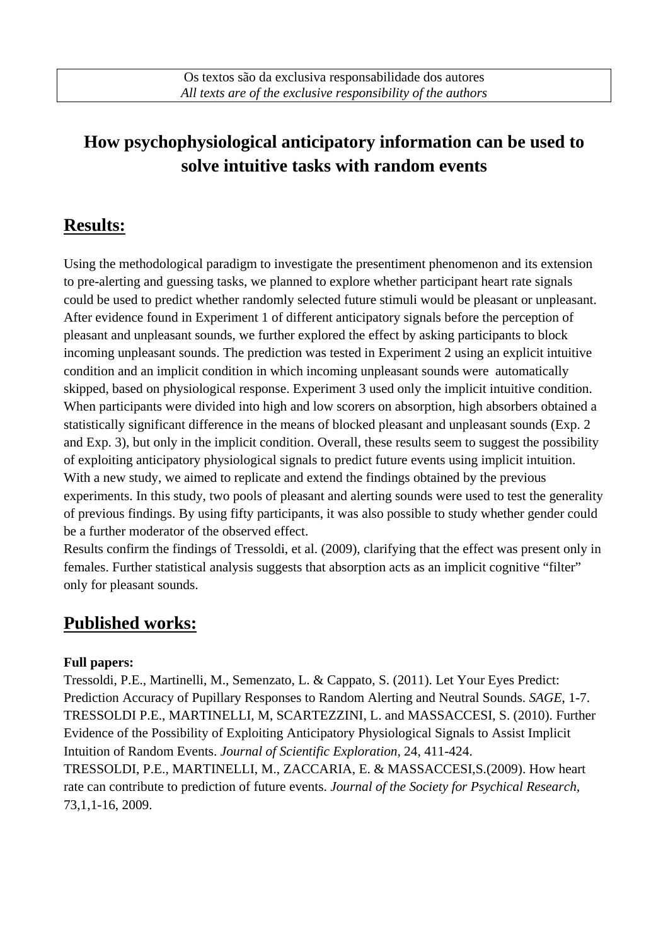# **How psychophysiological anticipatory information can be used to solve intuitive tasks with random events**

### **Results:**

Using the methodological paradigm to investigate the presentiment phenomenon and its extension to pre-alerting and guessing tasks, we planned to explore whether participant heart rate signals could be used to predict whether randomly selected future stimuli would be pleasant or unpleasant. After evidence found in Experiment 1 of different anticipatory signals before the perception of pleasant and unpleasant sounds, we further explored the effect by asking participants to block incoming unpleasant sounds. The prediction was tested in Experiment 2 using an explicit intuitive condition and an implicit condition in which incoming unpleasant sounds were automatically skipped, based on physiological response. Experiment 3 used only the implicit intuitive condition. When participants were divided into high and low scorers on absorption, high absorbers obtained a statistically significant difference in the means of blocked pleasant and unpleasant sounds (Exp. 2 and Exp. 3), but only in the implicit condition. Overall, these results seem to suggest the possibility of exploiting anticipatory physiological signals to predict future events using implicit intuition. With a new study, we aimed to replicate and extend the findings obtained by the previous experiments. In this study, two pools of pleasant and alerting sounds were used to test the generality of previous findings. By using fifty participants, it was also possible to study whether gender could be a further moderator of the observed effect.

Results confirm the findings of Tressoldi, et al. (2009), clarifying that the effect was present only in females. Further statistical analysis suggests that absorption acts as an implicit cognitive "filter" only for pleasant sounds.

## **Published works:**

#### **Full papers:**

Tressoldi, P.E., Martinelli, M., Semenzato, L. & Cappato, S. (2011). Let Your Eyes Predict: Prediction Accuracy of Pupillary Responses to Random Alerting and Neutral Sounds. *SAGE*, 1-7. TRESSOLDI P.E., MARTINELLI, M, SCARTEZZINI, L. and MASSACCESI, S. (2010). Further Evidence of the Possibility of Exploiting Anticipatory Physiological Signals to Assist Implicit Intuition of Random Events. *Journal of Scientific Exploration,* 24, 411-424. TRESSOLDI, P.E., MARTINELLI, M., ZACCARIA, E. & MASSACCESI,S.(2009). How heart rate can contribute to prediction of future events. *Journal of the Society for Psychical Research,* 73,1,1-16, 2009.